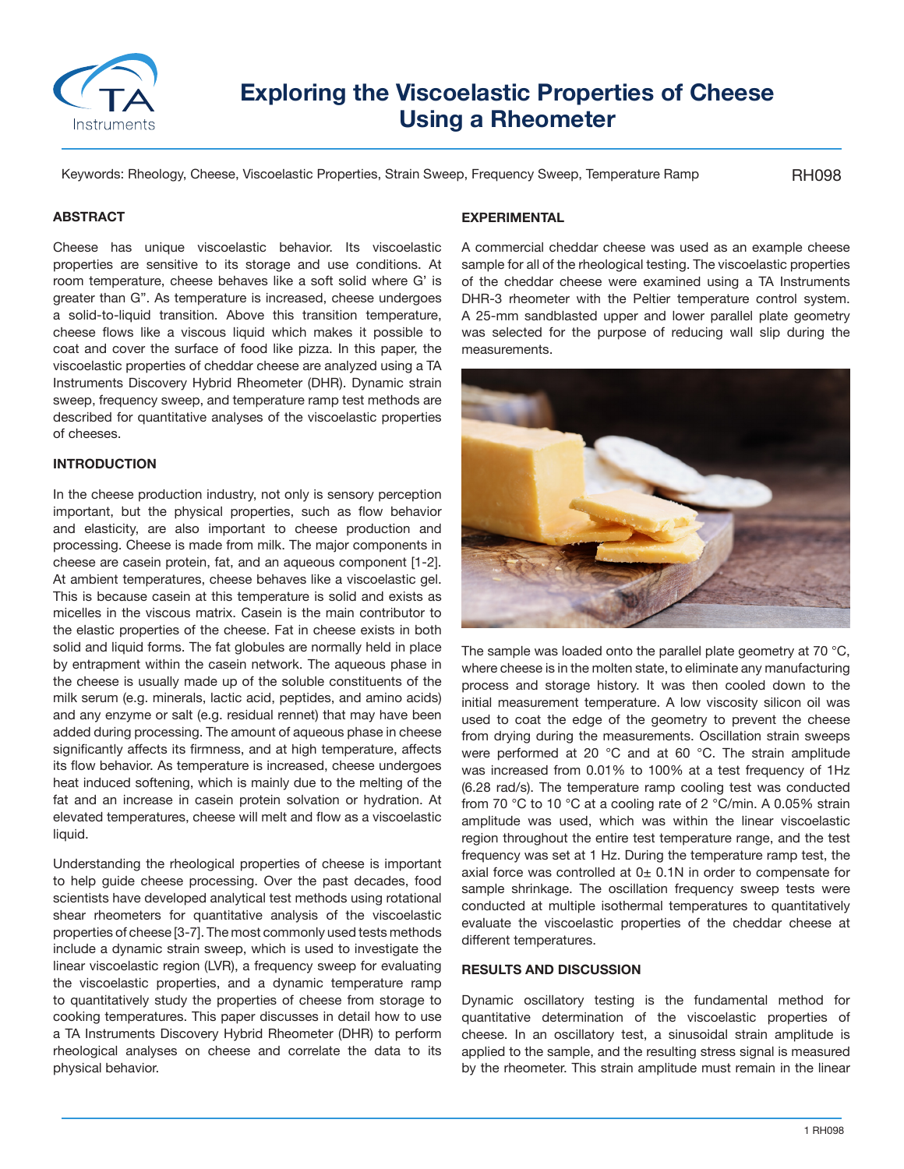

# **Exploring the Viscoelastic Properties of Cheese Using a Rheometer**

Keywords: Rheology, Cheese, Viscoelastic Properties, Strain Sweep, Frequency Sweep, Temperature Ramp

RH098

## **ABSTRACT**

Cheese has unique viscoelastic behavior. Its viscoelastic properties are sensitive to its storage and use conditions. At room temperature, cheese behaves like a soft solid where G' is greater than G". As temperature is increased, cheese undergoes a solid-to-liquid transition. Above this transition temperature, cheese flows like a viscous liquid which makes it possible to coat and cover the surface of food like pizza. In this paper, the viscoelastic properties of cheddar cheese are analyzed using a TA Instruments Discovery Hybrid Rheometer (DHR). Dynamic strain sweep, frequency sweep, and temperature ramp test methods are described for quantitative analyses of the viscoelastic properties of cheeses.

## **INTRODUCTION**

In the cheese production industry, not only is sensory perception important, but the physical properties, such as flow behavior and elasticity, are also important to cheese production and processing. Cheese is made from milk. The major components in cheese are casein protein, fat, and an aqueous component [1-2]. At ambient temperatures, cheese behaves like a viscoelastic gel. This is because casein at this temperature is solid and exists as micelles in the viscous matrix. Casein is the main contributor to the elastic properties of the cheese. Fat in cheese exists in both solid and liquid forms. The fat globules are normally held in place by entrapment within the casein network. The aqueous phase in the cheese is usually made up of the soluble constituents of the milk serum (e.g. minerals, lactic acid, peptides, and amino acids) and any enzyme or salt (e.g. residual rennet) that may have been added during processing. The amount of aqueous phase in cheese significantly affects its firmness, and at high temperature, affects its flow behavior. As temperature is increased, cheese undergoes heat induced softening, which is mainly due to the melting of the fat and an increase in casein protein solvation or hydration. At elevated temperatures, cheese will melt and flow as a viscoelastic liquid.

Understanding the rheological properties of cheese is important to help guide cheese processing. Over the past decades, food scientists have developed analytical test methods using rotational shear rheometers for quantitative analysis of the viscoelastic properties of cheese [3-7]. The most commonly used tests methods include a dynamic strain sweep, which is used to investigate the linear viscoelastic region (LVR), a frequency sweep for evaluating the viscoelastic properties, and a dynamic temperature ramp to quantitatively study the properties of cheese from storage to cooking temperatures. This paper discusses in detail how to use a TA Instruments Discovery Hybrid Rheometer (DHR) to perform rheological analyses on cheese and correlate the data to its physical behavior.

# **EXPERIMENTAL**

A commercial cheddar cheese was used as an example cheese sample for all of the rheological testing. The viscoelastic properties of the cheddar cheese were examined using a TA Instruments DHR-3 rheometer with the Peltier temperature control system. A 25-mm sandblasted upper and lower parallel plate geometry was selected for the purpose of reducing wall slip during the measurements.



The sample was loaded onto the parallel plate geometry at 70 °C, where cheese is in the molten state, to eliminate any manufacturing process and storage history. It was then cooled down to the initial measurement temperature. A low viscosity silicon oil was used to coat the edge of the geometry to prevent the cheese from drying during the measurements. Oscillation strain sweeps were performed at 20 °C and at 60 °C. The strain amplitude was increased from 0.01% to 100% at a test frequency of 1Hz (6.28 rad/s). The temperature ramp cooling test was conducted from 70 °C to 10 °C at a cooling rate of 2 °C/min. A 0.05% strain amplitude was used, which was within the linear viscoelastic region throughout the entire test temperature range, and the test frequency was set at 1 Hz. During the temperature ramp test, the axial force was controlled at  $0<sub>±</sub>$  0.1N in order to compensate for sample shrinkage. The oscillation frequency sweep tests were conducted at multiple isothermal temperatures to quantitatively evaluate the viscoelastic properties of the cheddar cheese at different temperatures.

## **RESULTS AND DISCUSSION**

Dynamic oscillatory testing is the fundamental method for quantitative determination of the viscoelastic properties of cheese. In an oscillatory test, a sinusoidal strain amplitude is applied to the sample, and the resulting stress signal is measured by the rheometer. This strain amplitude must remain in the linear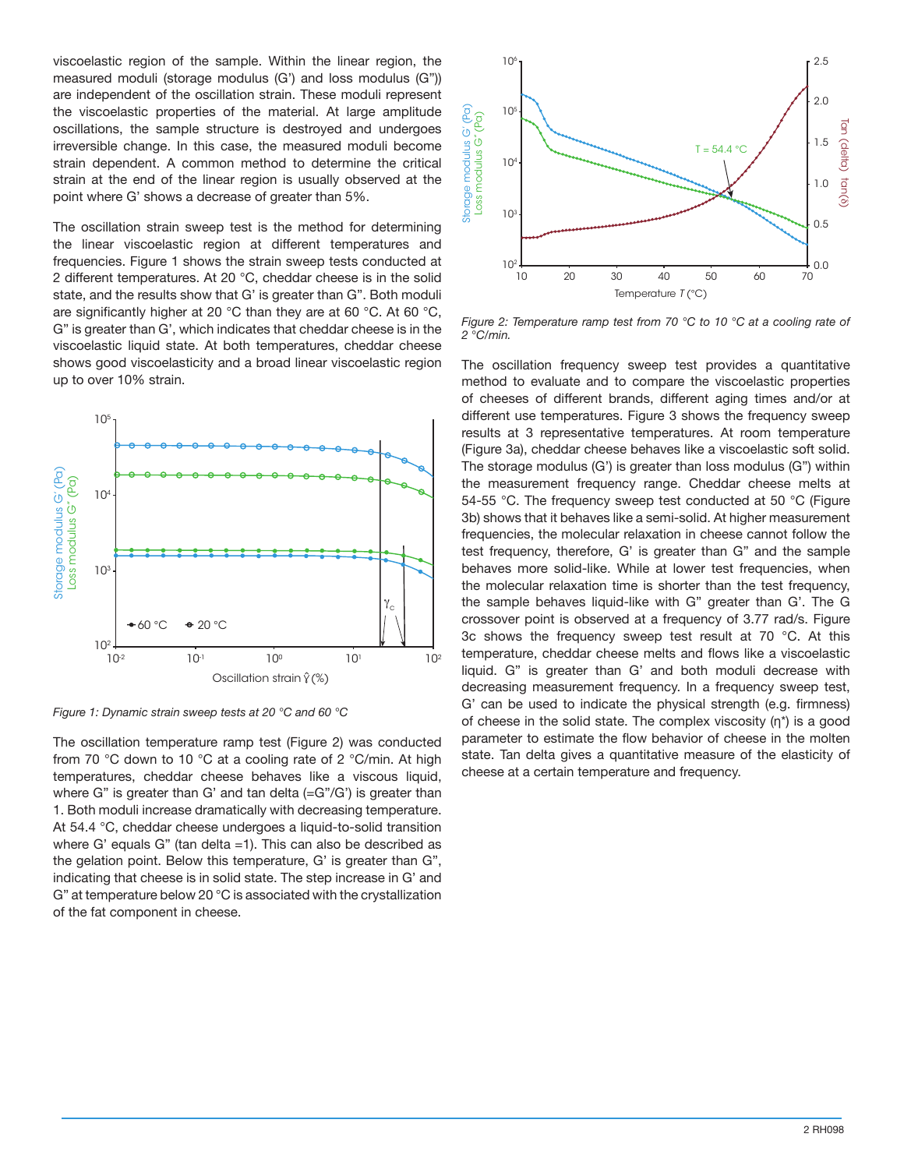viscoelastic region of the sample. Within the linear region, the measured moduli (storage modulus (G') and loss modulus (G")) are independent of the oscillation strain. These moduli represent the viscoelastic properties of the material. At large amplitude oscillations, the sample structure is destroyed and undergoes irreversible change. In this case, the measured moduli become strain dependent. A common method to determine the critical strain at the end of the linear region is usually observed at the point where G' shows a decrease of greater than 5%.

The oscillation strain sweep test is the method for determining the linear viscoelastic region at different temperatures and frequencies. Figure 1 shows the strain sweep tests conducted at 2 different temperatures. At 20 °C, cheddar cheese is in the solid state, and the results show that G' is greater than G". Both moduli are significantly higher at 20 °C than they are at 60 °C. At 60 °C, G" is greater than G', which indicates that cheddar cheese is in the viscoelastic liquid state. At both temperatures, cheddar cheese shows good viscoelasticity and a broad linear viscoelastic region up to over 10% strain.



*Figure 1: Dynamic strain sweep tests at 20 °C and 60 °C*

The oscillation temperature ramp test (Figure 2) was conducted from 70 °C down to 10 °C at a cooling rate of 2 °C/min. At high temperatures, cheddar cheese behaves like a viscous liquid, where  $G''$  is greater than  $G'$  and tan delta  $(=G''/G')$  is greater than 1. Both moduli increase dramatically with decreasing temperature. At 54.4 °C, cheddar cheese undergoes a liquid-to-solid transition where G' equals G" (tan delta =1). This can also be described as the gelation point. Below this temperature, G' is greater than G", indicating that cheese is in solid state. The step increase in G' and G" at temperature below 20 °C is associated with the crystallization of the fat component in cheese.



*Figure 2: Temperature ramp test from 70 °C to 10 °C at a cooling rate of 2 °C/min.*

The oscillation frequency sweep test provides a quantitative method to evaluate and to compare the viscoelastic properties of cheeses of different brands, different aging times and/or at different use temperatures. Figure 3 shows the frequency sweep results at 3 representative temperatures. At room temperature (Figure 3a), cheddar cheese behaves like a viscoelastic soft solid. The storage modulus (G') is greater than loss modulus (G") within the measurement frequency range. Cheddar cheese melts at 54-55 °C. The frequency sweep test conducted at 50 °C (Figure 3b) shows that it behaves like a semi-solid. At higher measurement frequencies, the molecular relaxation in cheese cannot follow the test frequency, therefore, G' is greater than G" and the sample behaves more solid-like. While at lower test frequencies, when the molecular relaxation time is shorter than the test frequency, the sample behaves liquid-like with G" greater than G'. The G crossover point is observed at a frequency of 3.77 rad/s. Figure 3c shows the frequency sweep test result at 70 °C. At this temperature, cheddar cheese melts and flows like a viscoelastic liquid. G" is greater than G' and both moduli decrease with decreasing measurement frequency. In a frequency sweep test, G' can be used to indicate the physical strength (e.g. firmness) of cheese in the solid state. The complex viscosity (η\*) is a good parameter to estimate the flow behavior of cheese in the molten state. Tan delta gives a quantitative measure of the elasticity of cheese at a certain temperature and frequency.